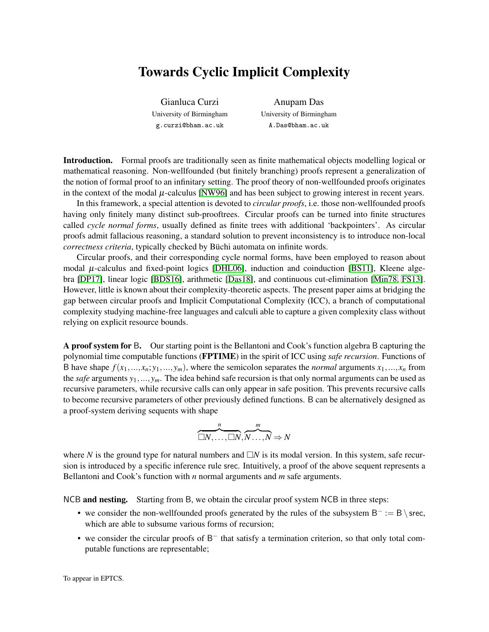## Towards Cyclic Implicit Complexity

Gianluca Curzi University of Birmingham g.curzi@bham.ac.uk

Anupam Das University of Birmingham A.Das@bham.ac.uk

Introduction. Formal proofs are traditionally seen as finite mathematical objects modelling logical or mathematical reasoning. Non-wellfounded (but finitely branching) proofs represent a generalization of the notion of formal proof to an infinitary setting. The proof theory of non-wellfounded proofs originates in the context of the modal  $\mu$ -calculus [\[NW96\]](#page-2-0) and has been subject to growing interest in recent years.

In this framework, a special attention is devoted to *circular proofs*, i.e. those non-wellfounded proofs having only finitely many distinct sub-prooftrees. Circular proofs can be turned into finite structures called *cycle normal forms*, usually defined as finite trees with additional 'backpointers'. As circular proofs admit fallacious reasoning, a standard solution to prevent inconsistency is to introduce non-local *correctness criteria*, typically checked by Büchi automata on infinite words.

Circular proofs, and their corresponding cycle normal forms, have been employed to reason about modal  $\mu$ -calculus and fixed-point logics [\[DHL06\]](#page-2-1), induction and coinduction [\[BS11\]](#page-2-2), Kleene algebra [\[DP17\]](#page-2-3), linear logic [\[BDS16\]](#page-2-4), arithmetic [\[Das18\]](#page-2-5), and continuous cut-elimination [\[Min78,](#page-2-6) [FS13\]](#page-2-7). However, little is known about their complexity-theoretic aspects. The present paper aims at bridging the gap between circular proofs and Implicit Computational Complexity (ICC), a branch of computational complexity studying machine-free languages and calculi able to capture a given complexity class without relying on explicit resource bounds.

A proof system for B. Our starting point is the Bellantoni and Cook's function algebra B capturing the polynomial time computable functions (FPTIME) in the spirit of ICC using *safe recursion*. Functions of B have shape  $f(x_1,...,x_n; y_1,..., y_m)$ , where the semicolon separates the *normal* arguments  $x_1,...,x_n$  from the *safe* arguments *y*1,..., *ym*. The idea behind safe recursion is that only normal arguments can be used as recursive parameters, while recursive calls can only appear in safe position. This prevents recursive calls to become recursive parameters of other previously defined functions. B can be alternatively designed as a proof-system deriving sequents with shape

$$
\overbrace{\square N,\ldots,\square N}^n,\overbrace{N\ldots,N}^m\Rightarrow N
$$

where N is the ground type for natural numbers and  $\Box N$  is its modal version. In this system, safe recursion is introduced by a specific inference rule srec. Intuitively, a proof of the above sequent represents a Bellantoni and Cook's function with *n* normal arguments and *m* safe arguments.

NCB and nesting. Starting from B, we obtain the circular proof system NCB in three steps:

- we consider the non-wellfounded proofs generated by the rules of the subsystem  $B^- := B \setminus$  srec, which are able to subsume various forms of recursion;
- we consider the circular proofs of B<sup>-</sup> that satisfy a termination criterion, so that only total computable functions are representable;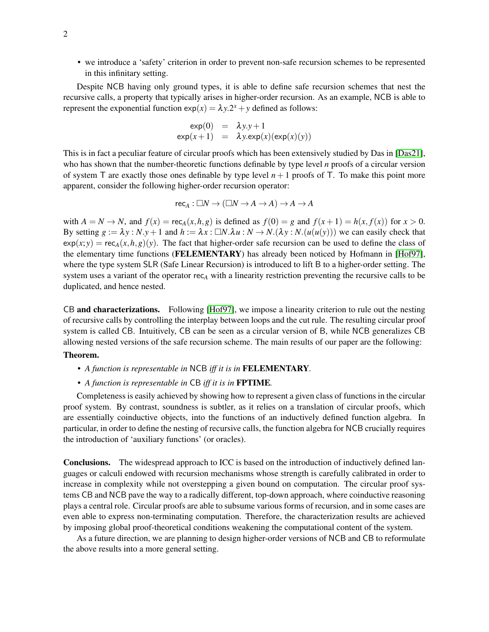• we introduce a 'safety' criterion in order to prevent non-safe recursion schemes to be represented in this infinitary setting.

Despite NCB having only ground types, it is able to define safe recursion schemes that nest the recursive calls, a property that typically arises in higher-order recursion. As an example, NCB is able to represent the exponential function  $exp(x) = \lambda y \cdot 2^x + y$  defined as follows:

$$
\exp(0) = \lambda y.y + 1
$$
  
 
$$
\exp(x+1) = \lambda y.\exp(x)(\exp(x)(y))
$$

This is in fact a peculiar feature of circular proofs which has been extensively studied by Das in [\[Das21\]](#page-2-8), who has shown that the number-theoretic functions definable by type level *n* proofs of a circular version of system T are exactly those ones definable by type level  $n+1$  proofs of T. To make this point more apparent, consider the following higher-order recursion operator:

$$
\mathsf{rec}_A:\Box N\to (\Box N\to A\to A)\to A\to A
$$

with  $A = N \rightarrow N$ , and  $f(x) = \text{rec}_A(x, h, g)$  is defined as  $f(0) = g$  and  $f(x+1) = h(x, f(x))$  for  $x > 0$ . By setting  $g := \lambda y : N \cdot y + 1$  and  $h := \lambda x : \square N \cdot \lambda u : N \to N \cdot (\lambda y : N \cdot (u(u(y)))$  we can easily check that  $exp(x; y) = rec_A(x, h, g)(y)$ . The fact that higher-order safe recursion can be used to define the class of the elementary time functions (FELEMENTARY) has already been noticed by Hofmann in [\[Hof97\]](#page-2-9), where the type system SLR (Safe Linear Recursion) is introduced to lift B to a higher-order setting. The system uses a variant of the operator rec*<sup>A</sup>* with a linearity restriction preventing the recursive calls to be duplicated, and hence nested.

CB and characterizations. Following [\[Hof97\]](#page-2-9), we impose a linearity criterion to rule out the nesting of recursive calls by controlling the interplay between loops and the cut rule. The resulting circular proof system is called CB. Intuitively, CB can be seen as a circular version of B, while NCB generalizes CB allowing nested versions of the safe recursion scheme. The main results of our paper are the following:

## Theorem.

- *A function is representable in* NCB *iff it is in* FELEMENTARY*.*
- *A function is representable in* CB *iff it is in* FPTIME*.*

Completeness is easily achieved by showing how to represent a given class of functions in the circular proof system. By contrast, soundness is subtler, as it relies on a translation of circular proofs, which are essentially coinductive objects, into the functions of an inductively defined function algebra. In particular, in order to define the nesting of recursive calls, the function algebra for NCB crucially requires the introduction of 'auxiliary functions' (or oracles).

Conclusions. The widespread approach to ICC is based on the introduction of inductively defined languages or calculi endowed with recursion mechanisms whose strength is carefully calibrated in order to increase in complexity while not overstepping a given bound on computation. The circular proof systems CB and NCB pave the way to a radically different, top-down approach, where coinductive reasoning plays a central role. Circular proofs are able to subsume various forms of recursion, and in some cases are even able to express non-terminating computation. Therefore, the characterization results are achieved by imposing global proof-theoretical conditions weakening the computational content of the system.

As a future direction, we are planning to design higher-order versions of NCB and CB to reformulate the above results into a more general setting.